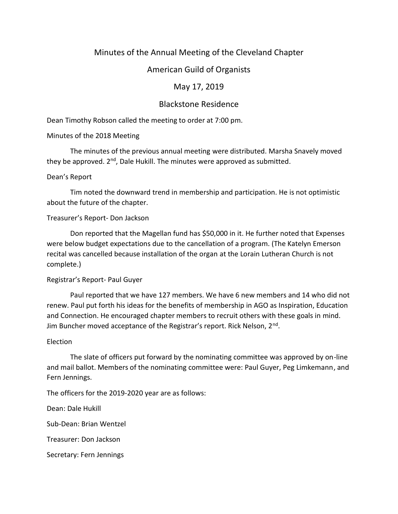# Minutes of the Annual Meeting of the Cleveland Chapter

## American Guild of Organists

## May 17, 2019

## Blackstone Residence

Dean Timothy Robson called the meeting to order at 7:00 pm.

## Minutes of the 2018 Meeting

The minutes of the previous annual meeting were distributed. Marsha Snavely moved they be approved.  $2<sup>nd</sup>$ , Dale Hukill. The minutes were approved as submitted.

### Dean's Report

Tim noted the downward trend in membership and participation. He is not optimistic about the future of the chapter.

## Treasurer's Report- Don Jackson

Don reported that the Magellan fund has \$50,000 in it. He further noted that Expenses were below budget expectations due to the cancellation of a program. (The Katelyn Emerson recital was cancelled because installation of the organ at the Lorain Lutheran Church is not complete.)

### Registrar's Report- Paul Guyer

Paul reported that we have 127 members. We have 6 new members and 14 who did not renew. Paul put forth his ideas for the benefits of membership in AGO as Inspiration, Education and Connection. He encouraged chapter members to recruit others with these goals in mind. Jim Buncher moved acceptance of the Registrar's report. Rick Nelson, 2<sup>nd</sup>.

### Election

The slate of officers put forward by the nominating committee was approved by on-line and mail ballot. Members of the nominating committee were: Paul Guyer, Peg Limkemann, and Fern Jennings.

The officers for the 2019-2020 year are as follows:

Dean: Dale Hukill

Sub-Dean: Brian Wentzel

Treasurer: Don Jackson

Secretary: Fern Jennings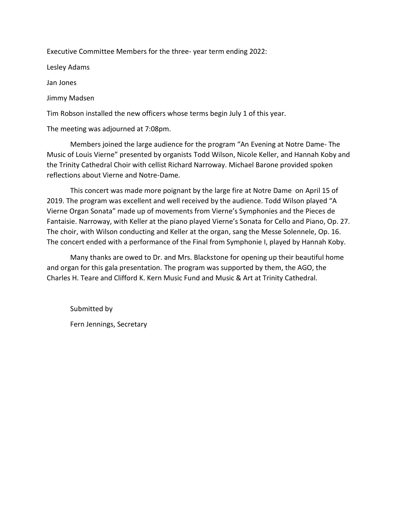Executive Committee Members for the three- year term ending 2022:

Lesley Adams

Jan Jones

Jimmy Madsen

Tim Robson installed the new officers whose terms begin July 1 of this year.

The meeting was adjourned at 7:08pm.

Members joined the large audience for the program "An Evening at Notre Dame- The Music of Louis Vierne" presented by organists Todd Wilson, Nicole Keller, and Hannah Koby and the Trinity Cathedral Choir with cellist Richard Narroway. Michael Barone provided spoken reflections about Vierne and Notre-Dame.

This concert was made more poignant by the large fire at Notre Dame on April 15 of 2019. The program was excellent and well received by the audience. Todd Wilson played "A Vierne Organ Sonata" made up of movements from Vierne's Symphonies and the Pieces de Fantaisie. Narroway, with Keller at the piano played Vierne's Sonata for Cello and Piano, Op. 27. The choir, with Wilson conducting and Keller at the organ, sang the Messe Solennele, Op. 16. The concert ended with a performance of the Final from Symphonie I, played by Hannah Koby.

Many thanks are owed to Dr. and Mrs. Blackstone for opening up their beautiful home and organ for this gala presentation. The program was supported by them, the AGO, the Charles H. Teare and Clifford K. Kern Music Fund and Music & Art at Trinity Cathedral.

Submitted by Fern Jennings, Secretary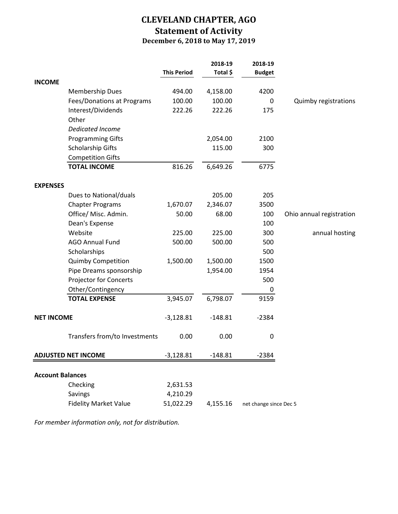# **CLEVELAND CHAPTER, AGO Statement of Activity December 6, 2018 to May 17, 2019**

|                            |                               |                    | 2018-19   | 2018-19                |                          |
|----------------------------|-------------------------------|--------------------|-----------|------------------------|--------------------------|
|                            |                               | <b>This Period</b> | Total \$  | <b>Budget</b>          |                          |
| <b>INCOME</b>              |                               |                    |           |                        |                          |
|                            | <b>Membership Dues</b>        | 494.00             | 4,158.00  | 4200                   |                          |
|                            | Fees/Donations at Programs    | 100.00             | 100.00    | 0                      | Quimby registrations     |
|                            | Interest/Dividends            | 222.26             | 222.26    | 175                    |                          |
|                            | Other                         |                    |           |                        |                          |
|                            | <b>Dedicated Income</b>       |                    |           |                        |                          |
|                            | <b>Programming Gifts</b>      |                    | 2,054.00  | 2100                   |                          |
|                            | Scholarship Gifts             |                    | 115.00    | 300                    |                          |
|                            | <b>Competition Gifts</b>      |                    |           |                        |                          |
|                            | <b>TOTAL INCOME</b>           | 816.26             | 6,649.26  | 6775                   |                          |
| <b>EXPENSES</b>            |                               |                    |           |                        |                          |
|                            | Dues to National/duals        |                    | 205.00    | 205                    |                          |
|                            | <b>Chapter Programs</b>       | 1,670.07           | 2,346.07  | 3500                   |                          |
|                            | Office/ Misc. Admin.          | 50.00              | 68.00     | 100                    | Ohio annual registration |
|                            | Dean's Expense                |                    |           | 100                    |                          |
|                            | Website                       | 225.00             | 225.00    | 300                    | annual hosting           |
|                            | <b>AGO Annual Fund</b>        | 500.00             | 500.00    | 500                    |                          |
|                            | Scholarships                  |                    |           | 500                    |                          |
|                            | <b>Quimby Competition</b>     | 1,500.00           | 1,500.00  | 1500                   |                          |
|                            | Pipe Dreams sponsorship       |                    | 1,954.00  | 1954                   |                          |
|                            | <b>Projector for Concerts</b> |                    |           | 500                    |                          |
|                            | Other/Contingency             |                    |           | 0                      |                          |
|                            | <b>TOTAL EXPENSE</b>          | 3,945.07           | 6,798.07  | 9159                   |                          |
| <b>NET INCOME</b>          |                               | $-3,128.81$        | $-148.81$ | $-2384$                |                          |
|                            | Transfers from/to Investments | 0.00               | 0.00      | $\mathbf 0$            |                          |
| <b>ADJUSTED NET INCOME</b> |                               | $-3,128.81$        | $-148.81$ | $-2384$                |                          |
| <b>Account Balances</b>    |                               |                    |           |                        |                          |
|                            | Checking                      | 2,631.53           |           |                        |                          |
|                            | Savings                       | 4,210.29           |           |                        |                          |
|                            | <b>Fidelity Market Value</b>  | 51,022.29          | 4,155.16  | net change since Dec 5 |                          |
|                            |                               |                    |           |                        |                          |

*For member information only, not for distribution.*